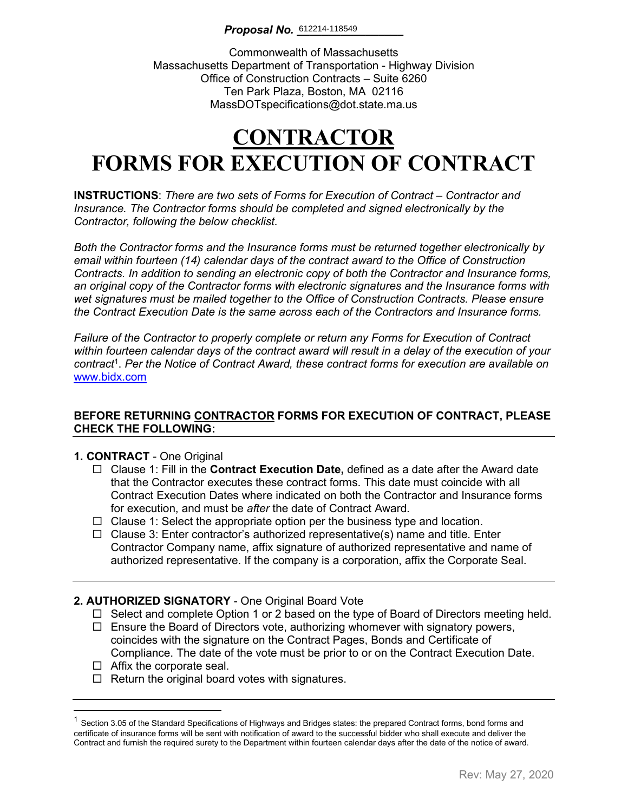### **Proposal No.** 612214-118549

Commonwealth of Massachusetts Massachusetts Department of Transportation - Highway Division Office of Construction Contracts – Suite 6260 Ten Park Plaza, Boston, MA 02116 MassDOTspecifications@dot.state.ma.us

# **CONTRACTOR FORMS FOR EXECUTION OF CONTRACT**

**INSTRUCTIONS**: *There are two sets of Forms for Execution of Contract – Contractor and Insurance. The Contractor forms should be completed and signed electronically by the Contractor, following the below checklist.* 

*Both the Contractor forms and the Insurance forms must be returned together electronically by email within fourteen (14) calendar days of the contract award to the Office of Construction Contracts. In addition to sending an electronic copy of both the Contractor and Insurance forms, an original copy of the Contractor forms with electronic signatures and the Insurance forms with wet signatures must be mailed together to the Office of Construction Contracts. Please ensure the Contract Execution Date is the same across each of the Contractors and Insurance forms.*

*Failure of the Contractor to properly complete or return any Forms for Execution of Contract within fourteen calendar days of the contract award will result in a delay of the execution of your contract*[1](#page-0-0) . *Per the Notice of Contract Award, these contract forms for execution are available on*  [www.bidx.com](http://www.bidx.com/)

### **BEFORE RETURNING CONTRACTOR FORMS FOR EXECUTION OF CONTRACT, PLEASE CHECK THE FOLLOWING:**

### **1. CONTRACT** - One Original

- Clause 1: Fill in the **Contract Execution Date,** defined as a date after the Award date that the Contractor executes these contract forms. This date must coincide with all Contract Execution Dates where indicated on both the Contractor and Insurance forms for execution, and must be *after* the date of Contract Award.
- $\Box$  Clause 1: Select the appropriate option per the business type and location.
- $\Box$  Clause 3: Enter contractor's authorized representative(s) name and title. Enter Contractor Company name, affix signature of authorized representative and name of authorized representative. If the company is a corporation, affix the Corporate Seal.

### **2. AUTHORIZED SIGNATORY** - One Original Board Vote

- $\Box$  Select and complete Option 1 or 2 based on the type of Board of Directors meeting held.
- $\Box$  Ensure the Board of Directors vote, authorizing whomever with signatory powers, coincides with the signature on the Contract Pages, Bonds and Certificate of Compliance. The date of the vote must be prior to or on the Contract Execution Date.
- $\Box$  Affix the corporate seal.
- $\Box$  Return the original board votes with signatures.

<span id="page-0-0"></span> $1$  Section 3.05 of the Standard Specifications of Highways and Bridges states: the prepared Contract forms, bond forms and certificate of insurance forms will be sent with notification of award to the successful bidder who shall execute and deliver the Contract and furnish the required surety to the Department within fourteen calendar days after the date of the notice of award.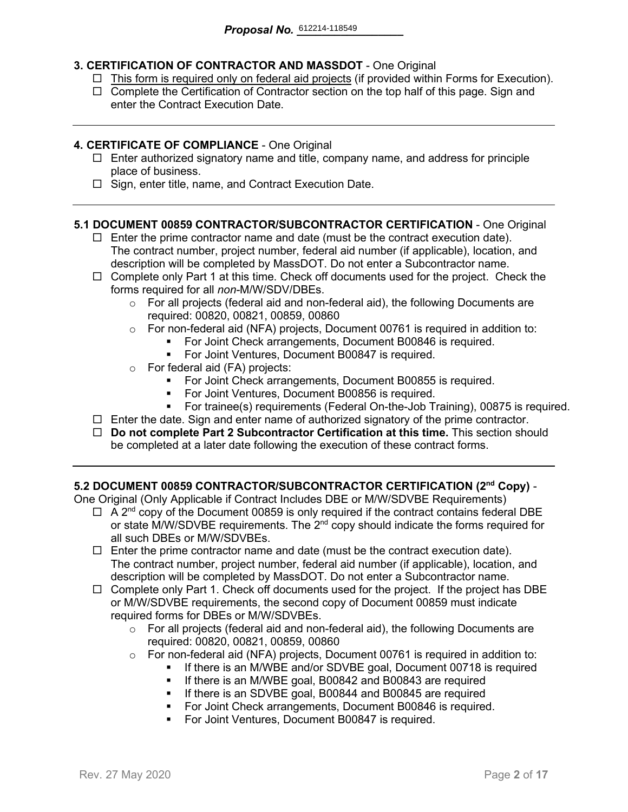### **3. CERTIFICATION OF CONTRACTOR AND MASSDOT** - One Original

- $\Box$  This form is required only on federal aid projects (if provided within Forms for Execution).
- $\Box$  Complete the Certification of Contractor section on the top half of this page. Sign and enter the Contract Execution Date.

### **4. CERTIFICATE OF COMPLIANCE** - One Original

- $\Box$  Enter authorized signatory name and title, company name, and address for principle place of business.
- $\Box$  Sign, enter title, name, and Contract Execution Date.

### **5.1 DOCUMENT 00859 CONTRACTOR/SUBCONTRACTOR CERTIFICATION** - One Original

- $\Box$  Enter the prime contractor name and date (must be the contract execution date). The contract number, project number, federal aid number (if applicable), location, and description will be completed by MassDOT. Do not enter a Subcontractor name.
- $\Box$  Complete only Part 1 at this time. Check off documents used for the project. Check the forms required for all *non-*M/W/SDV/DBEs.
	- $\circ$  For all projects (federal aid and non-federal aid), the following Documents are required: 00820, 00821, 00859, 00860
	- o For non-federal aid (NFA) projects, Document 00761 is required in addition to:
		- For Joint Check arrangements, Document B00846 is required.
		- **For Joint Ventures, Document B00847 is required.**
	- o For federal aid (FA) projects:
		- **For Joint Check arrangements, Document B00855 is required.**
		- For Joint Ventures, Document B00856 is required.
		- For trainee(s) requirements (Federal On-the-Job Training), 00875 is required.
- $\Box$  Enter the date. Sign and enter name of authorized signatory of the prime contractor.
- **Do not complete Part 2 Subcontractor Certification at this time.** This section should be completed at a later date following the execution of these contract forms.

### **5.2 DOCUMENT 00859 CONTRACTOR/SUBCONTRACTOR CERTIFICATION (2nd Copy)** -

One Original (Only Applicable if Contract Includes DBE or M/W/SDVBE Requirements)

- $\Box$  A 2<sup>nd</sup> copy of the Document 00859 is only required if the contract contains federal DBE or state M/W/SDVBE requirements. The  $2^{nd}$  copy should indicate the forms required for all such DBEs or M/W/SDVBEs.
- $\Box$  Enter the prime contractor name and date (must be the contract execution date). The contract number, project number, federal aid number (if applicable), location, and description will be completed by MassDOT. Do not enter a Subcontractor name.
- $\Box$  Complete only Part 1. Check off documents used for the project. If the project has DBE or M/W/SDVBE requirements, the second copy of Document 00859 must indicate required forms for DBEs or M/W/SDVBEs.
	- $\circ$  For all projects (federal aid and non-federal aid), the following Documents are required: 00820, 00821, 00859, 00860
	- o For non-federal aid (NFA) projects, Document 00761 is required in addition to:
		- If there is an M/WBE and/or SDVBE goal, Document 00718 is required
			- **If there is an M/WBE goal, B00842 and B00843 are required**
		- **If there is an SDVBE goal, B00844 and B00845 are required**
		- **For Joint Check arrangements, Document B00846 is required.**
		- **For Joint Ventures, Document B00847 is required.**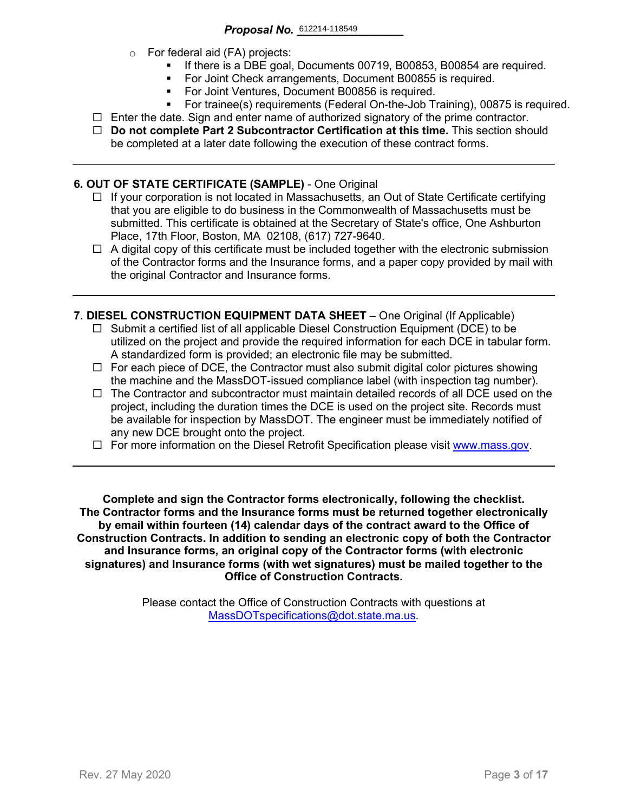- o For federal aid (FA) projects:
	- If there is a DBE goal, Documents 00719, B00853, B00854 are required.
	- For Joint Check arrangements, Document B00855 is required.
	- **For Joint Ventures, Document B00856 is required.**
	- For trainee(s) requirements (Federal On-the-Job Training), 00875 is required.
- $\Box$  Enter the date. Sign and enter name of authorized signatory of the prime contractor.
- **Do not complete Part 2 Subcontractor Certification at this time.** This section should be completed at a later date following the execution of these contract forms.

### **6. OUT OF STATE CERTIFICATE (SAMPLE)** - One Original

- $\Box$  If your corporation is not located in Massachusetts, an Out of State Certificate certifying that you are eligible to do business in the Commonwealth of Massachusetts must be submitted. This certificate is obtained at the Secretary of State's office, One Ashburton Place, 17th Floor, Boston, MA 02108, (617) 727-9640.
- $\Box$  A digital copy of this certificate must be included together with the electronic submission of the Contractor forms and the Insurance forms, and a paper copy provided by mail with the original Contractor and Insurance forms.
- **7. DIESEL CONSTRUCTION EQUIPMENT DATA SHEET** One Original (If Applicable)
	- $\Box$  Submit a certified list of all applicable Diesel Construction Equipment (DCE) to be utilized on the project and provide the required information for each DCE in tabular form. A standardized form is provided; an electronic file may be submitted.
	- $\Box$  For each piece of DCE, the Contractor must also submit digital color pictures showing the machine and the MassDOT-issued compliance label (with inspection tag number).
	- $\Box$  The Contractor and subcontractor must maintain detailed records of all DCE used on the project, including the duration times the DCE is used on the project site. Records must be available for inspection by MassDOT. The engineer must be immediately notified of any new DCE brought onto the project.
	- $\Box$  For more information on the Diesel Retrofit Specification please visit [www.mass.gov.](https://www.mass.gov/service-details/massdot-diesel-retrofit-specification)

**Complete and sign the Contractor forms electronically, following the checklist. The Contractor forms and the Insurance forms must be returned together electronically by email within fourteen (14) calendar days of the contract award to the Office of Construction Contracts. In addition to sending an electronic copy of both the Contractor and Insurance forms, an original copy of the Contractor forms (with electronic signatures) and Insurance forms (with wet signatures) must be mailed together to the Office of Construction Contracts.**

> Please contact the Office of Construction Contracts with questions at [MassDOTspecifications@dot.state.ma.us.](mailto:MassDOTspecifications@dot.state.ma.us)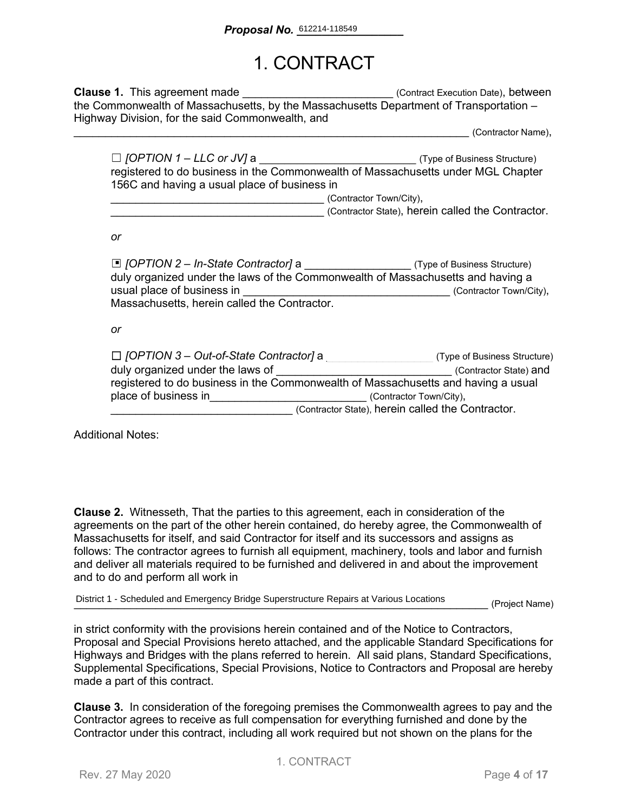## 1. CONTRACT

**Clause 1.** This agreement made **Execution Datel** (Contract Execution Date), between the Commonwealth of Massachusetts, by the Massachusetts Department of Transportation – Highway Division, for the said Commonwealth, and

\_\_\_\_\_\_\_\_\_\_\_\_\_\_\_\_\_\_\_\_\_\_\_\_\_\_\_\_\_\_\_\_\_\_\_\_\_\_\_\_\_\_\_\_\_\_\_\_\_\_\_\_\_\_\_\_\_\_\_\_\_\_\_ (Contractor Name),

| $\Box$ [OPTION 1 – LLC or JV] a              | (Type of Business Structure)                                                     |
|----------------------------------------------|----------------------------------------------------------------------------------|
|                                              | registered to do business in the Commonwealth of Massachusetts under MGL Chapter |
| 156C and having a usual place of business in |                                                                                  |
|                                              | (Contractor Town/City),                                                          |

(Contractor State), herein called the Contractor.

*or*

| □ [OPTION 2 - In-State Contractor] a _______________________(Type of Business Structure)<br>duly organized under the laws of the Commonwealth of Massachusetts and having a |                                                   |
|-----------------------------------------------------------------------------------------------------------------------------------------------------------------------------|---------------------------------------------------|
| usual place of business in                                                                                                                                                  | (Contractor Town/City),                           |
| Massachusetts, herein called the Contractor.                                                                                                                                |                                                   |
|                                                                                                                                                                             |                                                   |
| or                                                                                                                                                                          |                                                   |
|                                                                                                                                                                             |                                                   |
| $\Box$ [OPTION 3 – Out-of-State Contractor] a                                                                                                                               | (Type of Business Structure)                      |
| duly organized under the laws of                                                                                                                                            | (Contractor State) and                            |
| registered to do business in the Commonwealth of Massachusetts and having a usual                                                                                           |                                                   |
| place of business in                                                                                                                                                        | (Contractor Town/City),                           |
|                                                                                                                                                                             | (Contractor State), herein called the Contractor. |

Additional Notes:

**Clause 2.** Witnesseth, That the parties to this agreement, each in consideration of the agreements on the part of the other herein contained, do hereby agree, the Commonwealth of Massachusetts for itself, and said Contractor for itself and its successors and assigns as follows: The contractor agrees to furnish all equipment, machinery, tools and labor and furnish and deliver all materials required to be furnished and delivered in and about the improvement and to do and perform all work in

District 1 - Scheduled and Emergency Bridge Superstructure Repairs at Various Locations (Project Name)

in strict conformity with the provisions herein contained and of the Notice to Contractors, Proposal and Special Provisions hereto attached, and the applicable Standard Specifications for Highways and Bridges with the plans referred to herein. All said plans, Standard Specifications, Supplemental Specifications, Special Provisions, Notice to Contractors and Proposal are hereby made a part of this contract.

**Clause 3.** In consideration of the foregoing premises the Commonwealth agrees to pay and the Contractor agrees to receive as full compensation for everything furnished and done by the Contractor under this contract, including all work required but not shown on the plans for the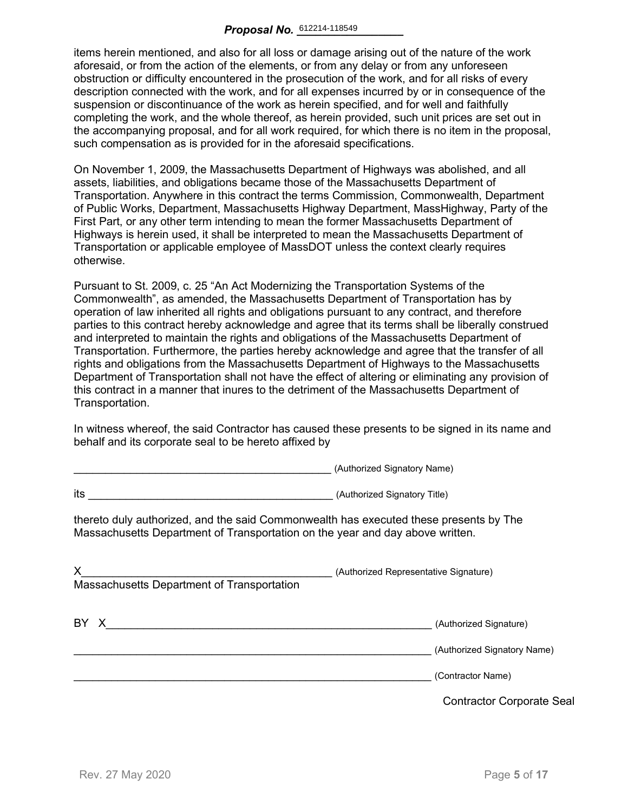items herein mentioned, and also for all loss or damage arising out of the nature of the work aforesaid, or from the action of the elements, or from any delay or from any unforeseen obstruction or difficulty encountered in the prosecution of the work, and for all risks of every description connected with the work, and for all expenses incurred by or in consequence of the suspension or discontinuance of the work as herein specified, and for well and faithfully completing the work, and the whole thereof, as herein provided, such unit prices are set out in the accompanying proposal, and for all work required, for which there is no item in the proposal, such compensation as is provided for in the aforesaid specifications.

On November 1, 2009, the Massachusetts Department of Highways was abolished, and all assets, liabilities, and obligations became those of the Massachusetts Department of Transportation. Anywhere in this contract the terms Commission, Commonwealth, Department of Public Works, Department, Massachusetts Highway Department, MassHighway, Party of the First Part, or any other term intending to mean the former Massachusetts Department of Highways is herein used, it shall be interpreted to mean the Massachusetts Department of Transportation or applicable employee of MassDOT unless the context clearly requires otherwise.

Pursuant to St. 2009, c. 25 "An Act Modernizing the Transportation Systems of the Commonwealth", as amended, the Massachusetts Department of Transportation has by operation of law inherited all rights and obligations pursuant to any contract, and therefore parties to this contract hereby acknowledge and agree that its terms shall be liberally construed and interpreted to maintain the rights and obligations of the Massachusetts Department of Transportation. Furthermore, the parties hereby acknowledge and agree that the transfer of all rights and obligations from the Massachusetts Department of Highways to the Massachusetts Department of Transportation shall not have the effect of altering or eliminating any provision of this contract in a manner that inures to the detriment of the Massachusetts Department of Transportation.

In witness whereof, the said Contractor has caused these presents to be signed in its name and behalf and its corporate seal to be hereto affixed by

\_\_\_\_\_\_\_\_\_\_\_\_\_\_\_\_\_\_\_\_\_\_\_\_\_\_\_\_\_\_\_\_\_\_\_\_\_\_\_\_\_ (Authorized Signatory Name)

|                                                                                                                                                                        | $\alpha$                                         |
|------------------------------------------------------------------------------------------------------------------------------------------------------------------------|--------------------------------------------------|
| its<br><u> 1989 - Johann Barbara, martin amerikan basar dan berasal dalam basa dalam basar dalam basar dalam basar dala</u>                                            | (Authorized Signatory Title)                     |
| thereto duly authorized, and the said Commonwealth has executed these presents by The<br>Massachusetts Department of Transportation on the year and day above written. |                                                  |
| X.<br>Massachusetts Department of Transportation                                                                                                                       | (Authorized Representative Signature)            |
| BY X                                                                                                                                                                   | (Authorized Signature)                           |
|                                                                                                                                                                        | (Authorized Signatory Name)<br>(Contractor Name) |
|                                                                                                                                                                        | <b>Contractor Corporate Seal</b>                 |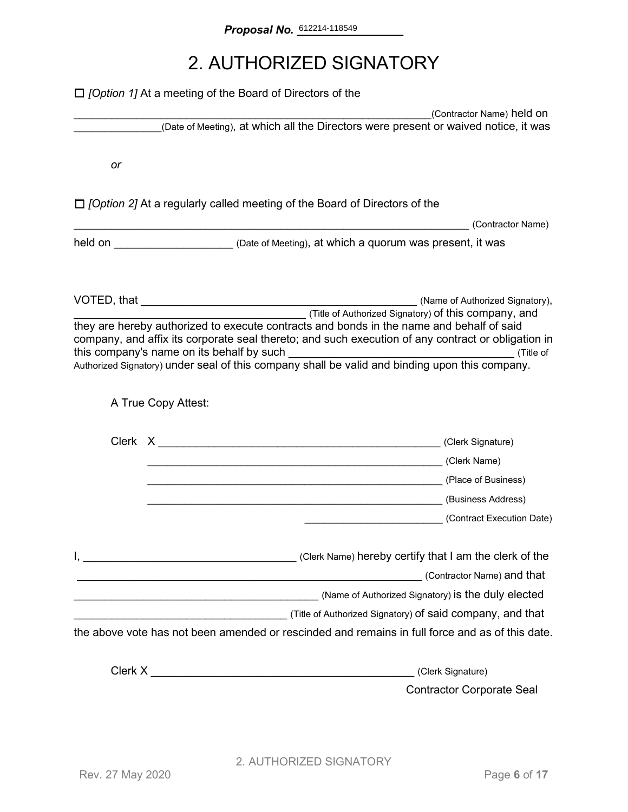## 2. AUTHORIZED SIGNATORY

|    | $\Box$ <i>[Option 1]</i> At a meeting of the Board of Directors of the                                                                                                                                                                                                                           |                                                      |
|----|--------------------------------------------------------------------------------------------------------------------------------------------------------------------------------------------------------------------------------------------------------------------------------------------------|------------------------------------------------------|
|    | (Date of Meeting), at which all the Directors were present or waived notice, it was                                                                                                                                                                                                              | (Contractor Name) held on                            |
|    |                                                                                                                                                                                                                                                                                                  |                                                      |
| or |                                                                                                                                                                                                                                                                                                  |                                                      |
|    | $\Box$ /Option 2] At a regularly called meeting of the Board of Directors of the                                                                                                                                                                                                                 |                                                      |
|    |                                                                                                                                                                                                                                                                                                  | (Contractor Name)                                    |
|    | held on <u>New Your Chate of Meeting</u> ), at which a quorum was present, it was                                                                                                                                                                                                                |                                                      |
|    |                                                                                                                                                                                                                                                                                                  |                                                      |
|    | they are hereby authorized to execute contracts and bonds in the name and behalf of said<br>company, and affix its corporate seal thereto; and such execution of any contract or obligation in<br>Authorized Signatory) under seal of this company shall be valid and binding upon this company. | (Title of Authorized Signatory) of this company, and |
|    | A True Copy Attest:                                                                                                                                                                                                                                                                              |                                                      |
|    |                                                                                                                                                                                                                                                                                                  |                                                      |
|    | (Clerk Name) (Clerk Name)                                                                                                                                                                                                                                                                        |                                                      |
|    |                                                                                                                                                                                                                                                                                                  |                                                      |
|    |                                                                                                                                                                                                                                                                                                  |                                                      |
|    |                                                                                                                                                                                                                                                                                                  | (Contract Execution Date)                            |
|    | Clerk Name) hereby certify that I am the clerk of the contract the clerk of the                                                                                                                                                                                                                  |                                                      |
|    | <u> 1980 - Jan Samuel Barbara, martxa a shekara 1980 - Ann an t-Ann an t-Ann an t-Ann an t-Ann an t-Ann an t-Ann </u>                                                                                                                                                                            | (Contractor Name) and that                           |
|    |                                                                                                                                                                                                                                                                                                  |                                                      |
|    |                                                                                                                                                                                                                                                                                                  |                                                      |
|    | the above vote has not been amended or rescinded and remains in full force and as of this date.                                                                                                                                                                                                  |                                                      |
|    | Clerk X <u>Alexander State Clerk X</u>                                                                                                                                                                                                                                                           | (Clerk Signature)                                    |
|    |                                                                                                                                                                                                                                                                                                  | <b>Contractor Corporate Seal</b>                     |
|    |                                                                                                                                                                                                                                                                                                  |                                                      |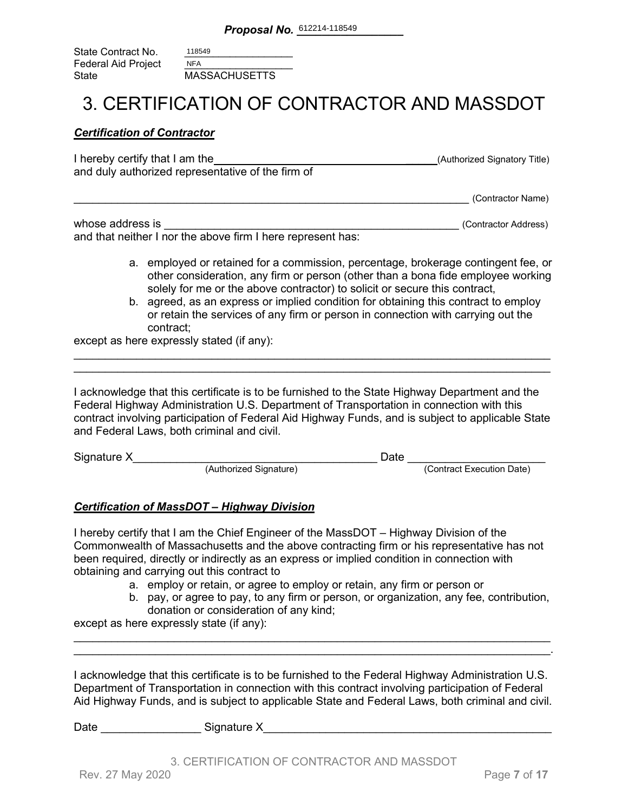| State Contract No.  | 118549               |
|---------------------|----------------------|
| Federal Aid Project | <b>NFA</b>           |
| State               | <b>MASSACHUSETTS</b> |

### 3. CERTIFICATION OF CONTRACTOR AND MASSDOT

### *Certification of Contractor*

| I hereby certify that I am the                    | (Authorized Signatory Title) |
|---------------------------------------------------|------------------------------|
| and duly authorized representative of the firm of |                              |
|                                                   |                              |

\_\_\_\_\_\_\_\_\_\_\_\_\_\_\_\_\_\_\_\_\_\_\_\_\_\_\_\_\_\_\_\_\_\_\_\_\_\_\_\_\_\_\_\_\_\_\_\_\_\_\_\_\_\_\_\_\_\_\_\_\_\_\_ (Contractor Name)

| whose address is                                            | (Contractor Address) |
|-------------------------------------------------------------|----------------------|
| and that neither I nor the above firm I here represent has: |                      |

- a. employed or retained for a commission, percentage, brokerage contingent fee, or other consideration, any firm or person (other than a bona fide employee working solely for me or the above contractor) to solicit or secure this contract,
- b. agreed, as an express or implied condition for obtaining this contract to employ or retain the services of any firm or person in connection with carrying out the contract;

except as here expressly stated (if any):

I acknowledge that this certificate is to be furnished to the State Highway Department and the Federal Highway Administration U.S. Department of Transportation in connection with this contract involving participation of Federal Aid Highway Funds, and is subject to applicable State and Federal Laws, both criminal and civil.

\_\_\_\_\_\_\_\_\_\_\_\_\_\_\_\_\_\_\_\_\_\_\_\_\_\_\_\_\_\_\_\_\_\_\_\_\_\_\_\_\_\_\_\_\_\_\_\_\_\_\_\_\_\_\_\_\_\_\_\_\_\_\_\_\_\_\_\_\_\_\_\_\_\_\_\_ \_\_\_\_\_\_\_\_\_\_\_\_\_\_\_\_\_\_\_\_\_\_\_\_\_\_\_\_\_\_\_\_\_\_\_\_\_\_\_\_\_\_\_\_\_\_\_\_\_\_\_\_\_\_\_\_\_\_\_\_\_\_\_\_\_\_\_\_\_\_\_\_\_\_\_\_

| Signature X |                        | )ate |                           |
|-------------|------------------------|------|---------------------------|
|             | (Authorized Signature) |      | (Contract Execution Date) |

### *Certification of MassDOT – Highway Division*

I hereby certify that I am the Chief Engineer of the MassDOT – Highway Division of the Commonwealth of Massachusetts and the above contracting firm or his representative has not been required, directly or indirectly as an express or implied condition in connection with obtaining and carrying out this contract to

- a. employ or retain, or agree to employ or retain, any firm or person or
- b. pay, or agree to pay, to any firm or person, or organization, any fee, contribution, donation or consideration of any kind;

except as here expressly state (if any):

I acknowledge that this certificate is to be furnished to the Federal Highway Administration U.S. Department of Transportation in connection with this contract involving participation of Federal Aid Highway Funds, and is subject to applicable State and Federal Laws, both criminal and civil.

\_\_\_\_\_\_\_\_\_\_\_\_\_\_\_\_\_\_\_\_\_\_\_\_\_\_\_\_\_\_\_\_\_\_\_\_\_\_\_\_\_\_\_\_\_\_\_\_\_\_\_\_\_\_\_\_\_\_\_\_\_\_\_\_\_\_\_\_\_\_\_\_\_\_\_\_ \_\_\_\_\_\_\_\_\_\_\_\_\_\_\_\_\_\_\_\_\_\_\_\_\_\_\_\_\_\_\_\_\_\_\_\_\_\_\_\_\_\_\_\_\_\_\_\_\_\_\_\_\_\_\_\_\_\_\_\_\_\_\_\_\_\_\_\_\_\_\_\_\_\_\_\_.

| Date<br>Signature X |
|---------------------|
|---------------------|

3. CERTIFICATION OF CONTRACTOR AND MASSDOT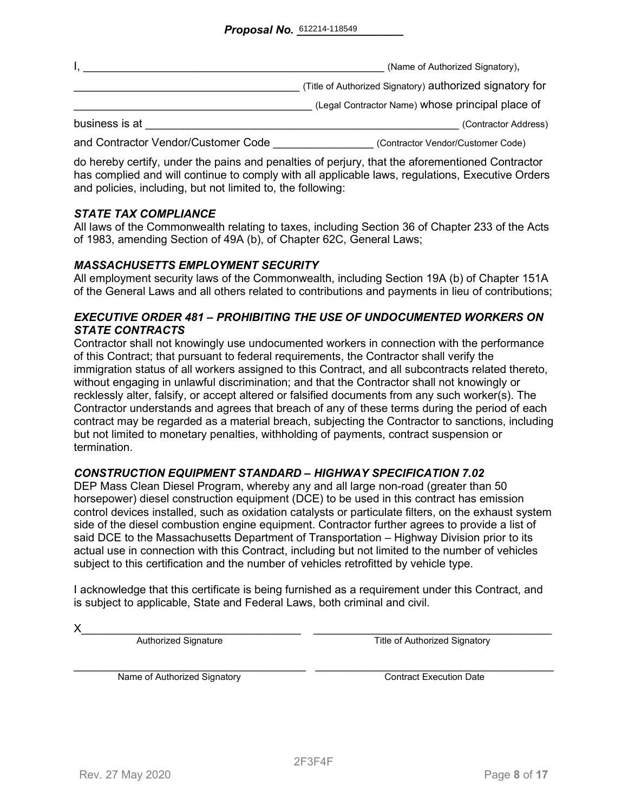|                                     | (Name of Authorized Signatory),                          |
|-------------------------------------|----------------------------------------------------------|
|                                     | (Title of Authorized Signatory) authorized signatory for |
|                                     | (Legal Contractor Name) whose principal place of         |
| business is at                      | (Contractor Address)                                     |
| and Contractor Vendor/Customer Code | (Contractor Vendor/Customer Code)                        |

do hereby certify, under the pains and penalties of perjury, that the aforementioned Contractor has complied and will continue to comply with all applicable laws, regulations, Executive Orders and policies, including, but not limited to, the following:

### *STATE TAX COMPLIANCE*

All laws of the Commonwealth relating to taxes, including Section 36 of Chapter 233 of the Acts of 1983, amending Section of 49A (b), of Chapter 62C, General Laws;

### *MASSACHUSETTS EMPLOYMENT SECURITY*

All employment security laws of the Commonwealth, including Section 19A (b) of Chapter 151A of the General Laws and all others related to contributions and payments in lieu of contributions;

### *EXECUTIVE ORDER 481 – PROHIBITING THE USE OF UNDOCUMENTED WORKERS ON STATE CONTRACTS*

Contractor shall not knowingly use undocumented workers in connection with the performance of this Contract; that pursuant to federal requirements, the Contractor shall verify the immigration status of all workers assigned to this Contract, and all subcontracts related thereto, without engaging in unlawful discrimination; and that the Contractor shall not knowingly or recklessly alter, falsify, or accept altered or falsified documents from any such worker(s). The Contractor understands and agrees that breach of any of these terms during the period of each contract may be regarded as a material breach, subjecting the Contractor to sanctions, including but not limited to monetary penalties, withholding of payments, contract suspension or termination.

#### *CONSTRUCTION EQUIPMENT STANDARD – HIGHWAY SPECIFICATION 7.02*

DEP Mass Clean Diesel Program, whereby any and all large non-road (greater than 50 horsepower) diesel construction equipment (DCE) to be used in this contract has emission control devices installed, such as oxidation catalysts or particulate filters, on the exhaust system side of the diesel combustion engine equipment. Contractor further agrees to provide a list of said DCE to the Massachusetts Department of Transportation – Highway Division prior to its actual use in connection with this Contract, including but not limited to the number of vehicles subject to this certification and the number of vehicles retrofitted by vehicle type.

I acknowledge that this certificate is being furnished as a requirement under this Contract, and is subject to applicable, State and Federal Laws, both criminal and civil.

X\_\_\_\_\_\_\_\_\_\_\_\_\_\_\_\_\_\_\_\_\_\_\_\_\_\_\_\_\_\_\_\_\_\_\_ \_\_\_\_\_\_\_\_\_\_\_\_\_\_\_\_\_\_\_\_\_\_\_\_\_\_\_\_\_\_\_\_\_\_\_\_\_\_ Authorized Signature Title of Authorized Signatory

Name of Authorized Signatory **Execution Contract Execution Date**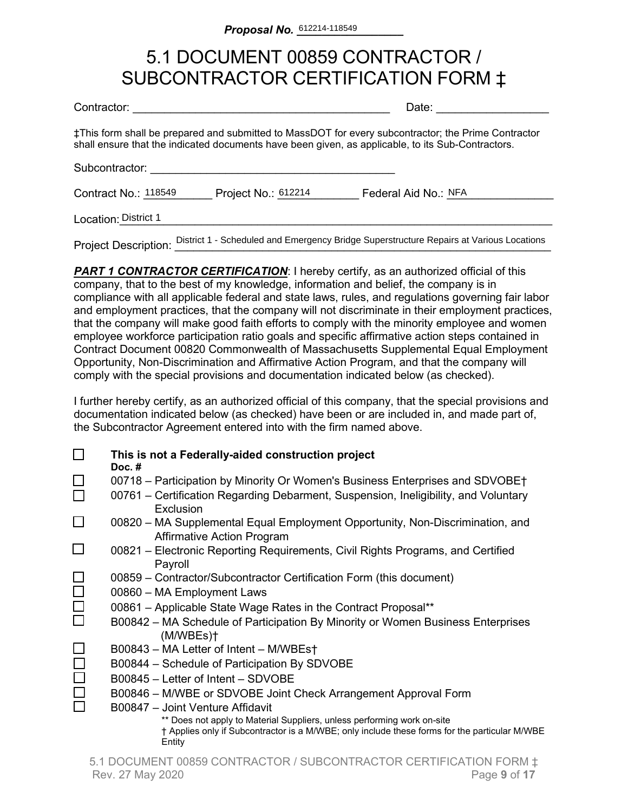## 5.1 DOCUMENT 00859 CONTRACTOR / SUBCONTRACTOR CERTIFICATION FORM ‡

| Contractor: |  |
|-------------|--|

Date:  $\Box$ 

‡This form shall be prepared and submitted to MassDOT for every subcontractor; the Prime Contractor shall ensure that the indicated documents have been given, as applicable, to its Sub-Contractors.

Subcontractor:

Contract No.: 118549 Project No.: 612214 Federal Aid No.: NFA

Location:\_\_\_\_\_\_\_\_\_\_\_\_\_\_\_\_\_\_\_\_\_\_\_\_\_\_\_\_\_\_\_\_\_\_\_\_\_\_\_\_\_\_\_\_\_\_\_\_\_\_\_\_\_\_\_\_\_\_\_\_\_\_\_\_\_\_\_\_\_ District 1

Project Description: District 1 - Scheduled and Emergency Bridge Superstructure Repairs at Various Locations

**PART 1 CONTRACTOR CERTIFICATION:** I hereby certify, as an authorized official of this company, that to the best of my knowledge, information and belief, the company is in compliance with all applicable federal and state laws, rules, and regulations governing fair labor and employment practices, that the company will not discriminate in their employment practices, that the company will make good faith efforts to comply with the minority employee and women employee workforce participation ratio goals and specific affirmative action steps contained in Contract Document 00820 Commonwealth of Massachusetts Supplemental Equal Employment Opportunity, Non-Discrimination and Affirmative Action Program, and that the company will comply with the special provisions and documentation indicated below (as checked).

I further hereby certify, as an authorized official of this company, that the special provisions and documentation indicated below (as checked) have been or are included in, and made part of, the Subcontractor Agreement entered into with the firm named above.

|        | This is not a Federally-aided construction project<br>Doc. $#$                                                                                                                                                         |
|--------|------------------------------------------------------------------------------------------------------------------------------------------------------------------------------------------------------------------------|
|        | 00718 - Participation by Minority Or Women's Business Enterprises and SDVOBE†<br>00761 – Certification Regarding Debarment, Suspension, Ineligibility, and Voluntary                                                   |
|        | Exclusion<br>00820 – MA Supplemental Equal Employment Opportunity, Non-Discrimination, and                                                                                                                             |
|        | <b>Affirmative Action Program</b><br>00821 – Electronic Reporting Requirements, Civil Rights Programs, and Certified                                                                                                   |
|        | Payroll<br>00859 - Contractor/Subcontractor Certification Form (this document)                                                                                                                                         |
| $\Box$ | 00860 - MA Employment Laws                                                                                                                                                                                             |
| $\Box$ | 00861 – Applicable State Wage Rates in the Contract Proposal**<br>B00842 - MA Schedule of Participation By Minority or Women Business Enterprises<br>(M/WBEs)                                                          |
|        | B00843 - MA Letter of Intent - M/WBEst                                                                                                                                                                                 |
|        | B00844 – Schedule of Participation By SDVOBE<br>B00845 - Letter of Intent - SDVOBE                                                                                                                                     |
|        | B00846 – M/WBE or SDVOBE Joint Check Arrangement Approval Form                                                                                                                                                         |
|        | B00847 - Joint Venture Affidavit<br>** Does not apply to Material Suppliers, unless performing work on-site<br>† Applies only if Subcontractor is a M/WBE; only include these forms for the particular M/WBE<br>Entity |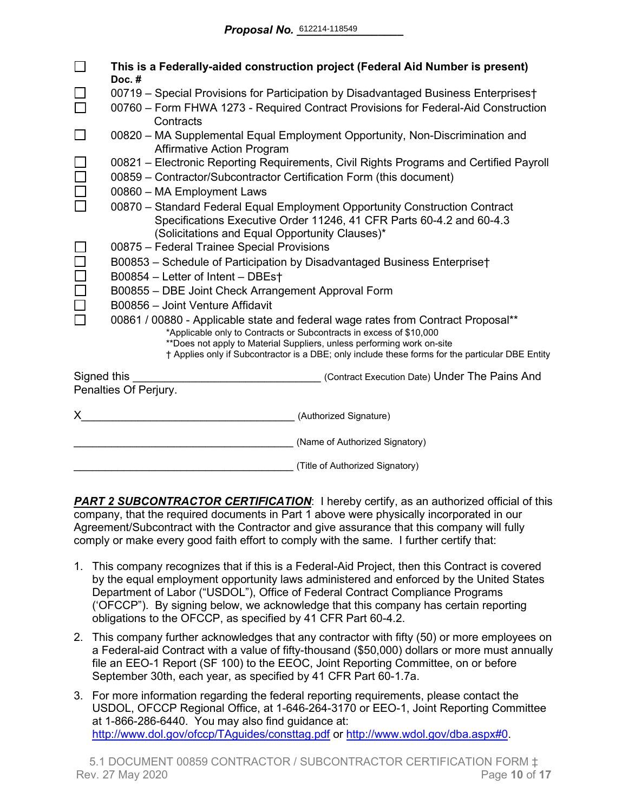|             | This is a Federally-aided construction project (Federal Aid Number is present)<br>Doc.#                           |  |  |  |  |  |  |  |  |
|-------------|-------------------------------------------------------------------------------------------------------------------|--|--|--|--|--|--|--|--|
|             | 00719 - Special Provisions for Participation by Disadvantaged Business Enterprises†                               |  |  |  |  |  |  |  |  |
|             | 00760 – Form FHWA 1273 - Required Contract Provisions for Federal-Aid Construction<br>Contracts                   |  |  |  |  |  |  |  |  |
|             | 00820 - MA Supplemental Equal Employment Opportunity, Non-Discrimination and<br><b>Affirmative Action Program</b> |  |  |  |  |  |  |  |  |
|             | 00821 – Electronic Reporting Requirements, Civil Rights Programs and Certified Payroll                            |  |  |  |  |  |  |  |  |
|             | 00859 - Contractor/Subcontractor Certification Form (this document)                                               |  |  |  |  |  |  |  |  |
|             | 00860 - MA Employment Laws                                                                                        |  |  |  |  |  |  |  |  |
|             | 00870 - Standard Federal Equal Employment Opportunity Construction Contract                                       |  |  |  |  |  |  |  |  |
|             | Specifications Executive Order 11246, 41 CFR Parts 60-4.2 and 60-4.3                                              |  |  |  |  |  |  |  |  |
|             | (Solicitations and Equal Opportunity Clauses)*                                                                    |  |  |  |  |  |  |  |  |
|             | 00875 - Federal Trainee Special Provisions                                                                        |  |  |  |  |  |  |  |  |
|             | B00853 - Schedule of Participation by Disadvantaged Business Enterprise†                                          |  |  |  |  |  |  |  |  |
|             | B00854 - Letter of Intent - DBEst                                                                                 |  |  |  |  |  |  |  |  |
|             | B00855 - DBE Joint Check Arrangement Approval Form<br>B00856 - Joint Venture Affidavit                            |  |  |  |  |  |  |  |  |
|             | 00861 / 00880 - Applicable state and federal wage rates from Contract Proposal**                                  |  |  |  |  |  |  |  |  |
|             | *Applicable only to Contracts or Subcontracts in excess of \$10,000                                               |  |  |  |  |  |  |  |  |
|             | **Does not apply to Material Suppliers, unless performing work on-site                                            |  |  |  |  |  |  |  |  |
|             | † Applies only if Subcontractor is a DBE; only include these forms for the particular DBE Entity                  |  |  |  |  |  |  |  |  |
| Signed this | (Contract Execution Date) Under The Pains And                                                                     |  |  |  |  |  |  |  |  |
|             | Penalties Of Perjury.                                                                                             |  |  |  |  |  |  |  |  |
| X.          | (Authorized Signature)                                                                                            |  |  |  |  |  |  |  |  |
|             | (Name of Authorized Signatory)                                                                                    |  |  |  |  |  |  |  |  |
|             | (Title of Authorized Signatory)                                                                                   |  |  |  |  |  |  |  |  |

**PART 2 SUBCONTRACTOR CERTIFICATION:** I hereby certify, as an authorized official of this company, that the required documents in Part 1 above were physically incorporated in our Agreement/Subcontract with the Contractor and give assurance that this company will fully comply or make every good faith effort to comply with the same. I further certify that:

- 1. This company recognizes that if this is a Federal-Aid Project, then this Contract is covered by the equal employment opportunity laws administered and enforced by the United States Department of Labor ("USDOL"), Office of Federal Contract Compliance Programs ('OFCCP"). By signing below, we acknowledge that this company has certain reporting obligations to the OFCCP, as specified by 41 CFR Part 60-4.2.
- 2. This company further acknowledges that any contractor with fifty (50) or more employees on a Federal-aid Contract with a value of fifty-thousand (\$50,000) dollars or more must annually file an EEO-1 Report (SF 100) to the EEOC, Joint Reporting Committee, on or before September 30th, each year, as specified by 41 CFR Part 60-1.7a.
- 3. For more information regarding the federal reporting requirements, please contact the USDOL, OFCCP Regional Office, at 1-646-264-3170 or EEO-1, Joint Reporting Committee at 1-866-286-6440. You may also find guidance at: <http://www.dol.gov/ofccp/TAguides/consttag.pdf> or [http://www.wdol.gov/dba.aspx#0.](http://www.wdol.gov/dba.aspx#0)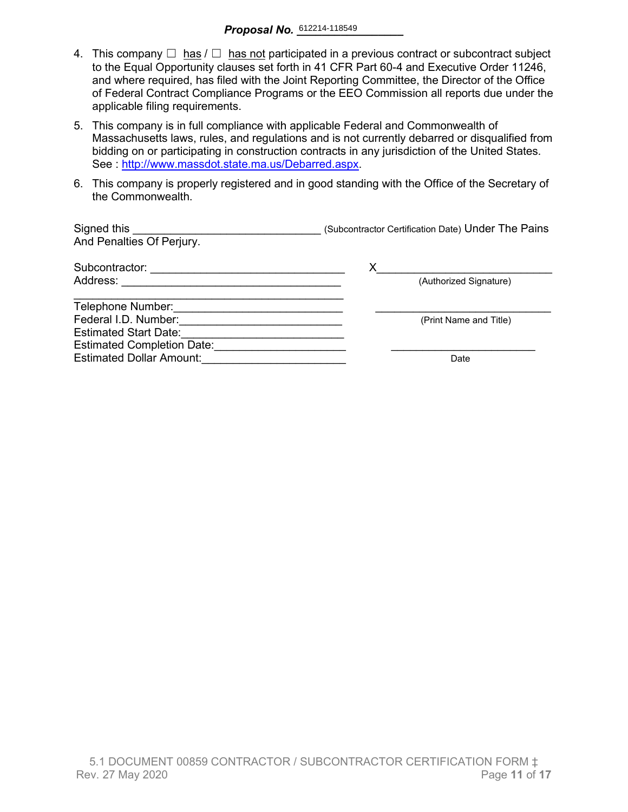- 4. This company  $\Box$  has  $\Box$  has not participated in a previous contract or subcontract subject to the Equal Opportunity clauses set forth in 41 CFR Part 60-4 and Executive Order 11246, and where required, has filed with the Joint Reporting Committee, the Director of the Office of Federal Contract Compliance Programs or the EEO Commission all reports due under the applicable filing requirements.
- 5. This company is in full compliance with applicable Federal and Commonwealth of Massachusetts laws, rules, and regulations and is not currently debarred or disqualified from bidding on or participating in construction contracts in any jurisdiction of the United States. See : http://www.massdot.state.ma.us/Debarred.aspx.
- 6. This company is properly registered and in good standing with the Office of the Secretary of the Commonwealth.

| Signed this<br>And Penalties Of Perjury. | (Subcontractor Certification Date) Under The Pains |
|------------------------------------------|----------------------------------------------------|
| Subcontractor:                           | Х                                                  |
| Address:                                 | (Authorized Signature)                             |
| Telephone Number:                        |                                                    |
| Federal I.D. Number:                     | (Print Name and Title)                             |
| <b>Estimated Start Date:</b>             |                                                    |
| <b>Estimated Completion Date:</b>        |                                                    |
| <b>Estimated Dollar Amount:</b>          | Date                                               |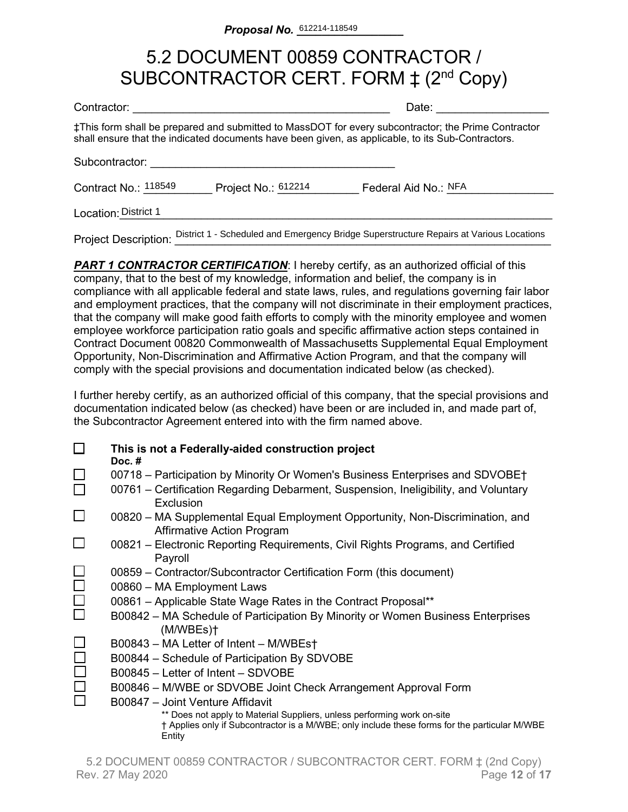## 5.2 DOCUMENT 00859 CONTRACTOR / SUBCONTRACTOR CERT. FORM  $\ddagger$  (2<sup>nd</sup> Copy)

| Contractor:          | Date:               |                                                                                                                                                                                                          |
|----------------------|---------------------|----------------------------------------------------------------------------------------------------------------------------------------------------------------------------------------------------------|
|                      |                     | ‡This form shall be prepared and submitted to MassDOT for every subcontractor; the Prime Contractor<br>shall ensure that the indicated documents have been given, as applicable, to its Sub-Contractors. |
| Subcontractor:       |                     |                                                                                                                                                                                                          |
| Contract No.: 118549 | Project No.: 612214 | Federal Aid No.: NFA                                                                                                                                                                                     |
| Location: District 1 |                     |                                                                                                                                                                                                          |
|                      |                     |                                                                                                                                                                                                          |

Project Description: District 1 - Scheduled and Emergency Bridge Superstructure Repairs at Various Locations

**PART 1 CONTRACTOR CERTIFICATION:** I hereby certify, as an authorized official of this company, that to the best of my knowledge, information and belief, the company is in compliance with all applicable federal and state laws, rules, and regulations governing fair labor and employment practices, that the company will not discriminate in their employment practices, that the company will make good faith efforts to comply with the minority employee and women employee workforce participation ratio goals and specific affirmative action steps contained in Contract Document 00820 Commonwealth of Massachusetts Supplemental Equal Employment Opportunity, Non-Discrimination and Affirmative Action Program, and that the company will comply with the special provisions and documentation indicated below (as checked).

I further hereby certify, as an authorized official of this company, that the special provisions and documentation indicated below (as checked) have been or are included in, and made part of, the Subcontractor Agreement entered into with the firm named above.

| This is not a Federally-aided construction project<br>Doc. $#$                                                                                                                     |
|------------------------------------------------------------------------------------------------------------------------------------------------------------------------------------|
| 00718 – Participation by Minority Or Women's Business Enterprises and SDVOBE†                                                                                                      |
| 00761 – Certification Regarding Debarment, Suspension, Ineligibility, and Voluntary<br>Exclusion                                                                                   |
| 00820 – MA Supplemental Equal Employment Opportunity, Non-Discrimination, and<br><b>Affirmative Action Program</b>                                                                 |
| 00821 – Electronic Reporting Requirements, Civil Rights Programs, and Certified<br>Payroll                                                                                         |
| 00859 – Contractor/Subcontractor Certification Form (this document)                                                                                                                |
| 00860 - MA Employment Laws                                                                                                                                                         |
| 00861 - Applicable State Wage Rates in the Contract Proposal**                                                                                                                     |
| B00842 – MA Schedule of Participation By Minority or Women Business Enterprises<br>(M/WBEs)                                                                                        |
| B00843 - MA Letter of Intent - M/WBEst                                                                                                                                             |
| B00844 - Schedule of Participation By SDVOBE                                                                                                                                       |
| B00845 - Letter of Intent - SDVOBE                                                                                                                                                 |
| B00846 – M/WBE or SDVOBE Joint Check Arrangement Approval Form                                                                                                                     |
| B00847 - Joint Venture Affidavit                                                                                                                                                   |
| ** Does not apply to Material Suppliers, unless performing work on-site<br>† Applies only if Subcontractor is a M/WBE; only include these forms for the particular M/WBE<br>Entity |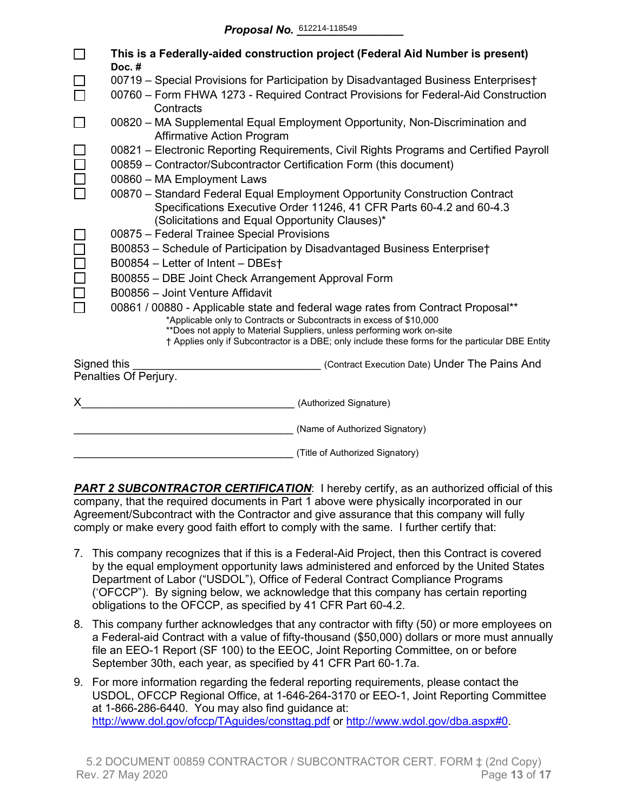|             | This is a Federally-aided construction project (Federal Aid Number is present)<br>Doc.#                                                                                                                                                                                                                                               |  |  |  |  |  |  |  |  |  |
|-------------|---------------------------------------------------------------------------------------------------------------------------------------------------------------------------------------------------------------------------------------------------------------------------------------------------------------------------------------|--|--|--|--|--|--|--|--|--|
|             | 00719 - Special Provisions for Participation by Disadvantaged Business Enterprises†                                                                                                                                                                                                                                                   |  |  |  |  |  |  |  |  |  |
|             | 00760 - Form FHWA 1273 - Required Contract Provisions for Federal-Aid Construction<br>Contracts                                                                                                                                                                                                                                       |  |  |  |  |  |  |  |  |  |
|             | 00820 – MA Supplemental Equal Employment Opportunity, Non-Discrimination and<br><b>Affirmative Action Program</b>                                                                                                                                                                                                                     |  |  |  |  |  |  |  |  |  |
|             | 00821 – Electronic Reporting Requirements, Civil Rights Programs and Certified Payroll<br>00859 - Contractor/Subcontractor Certification Form (this document)                                                                                                                                                                         |  |  |  |  |  |  |  |  |  |
|             | 00860 - MA Employment Laws                                                                                                                                                                                                                                                                                                            |  |  |  |  |  |  |  |  |  |
|             | 00870 - Standard Federal Equal Employment Opportunity Construction Contract<br>Specifications Executive Order 11246, 41 CFR Parts 60-4.2 and 60-4.3<br>(Solicitations and Equal Opportunity Clauses)*                                                                                                                                 |  |  |  |  |  |  |  |  |  |
|             | 00875 - Federal Trainee Special Provisions                                                                                                                                                                                                                                                                                            |  |  |  |  |  |  |  |  |  |
|             | B00853 - Schedule of Participation by Disadvantaged Business Enterprise†                                                                                                                                                                                                                                                              |  |  |  |  |  |  |  |  |  |
|             | B00854 - Letter of Intent - DBEst                                                                                                                                                                                                                                                                                                     |  |  |  |  |  |  |  |  |  |
|             | B00855 - DBE Joint Check Arrangement Approval Form                                                                                                                                                                                                                                                                                    |  |  |  |  |  |  |  |  |  |
|             | B00856 - Joint Venture Affidavit                                                                                                                                                                                                                                                                                                      |  |  |  |  |  |  |  |  |  |
|             | 00861 / 00880 - Applicable state and federal wage rates from Contract Proposal**<br>*Applicable only to Contracts or Subcontracts in excess of \$10,000<br>**Does not apply to Material Suppliers, unless performing work on-site<br>† Applies only if Subcontractor is a DBE; only include these forms for the particular DBE Entity |  |  |  |  |  |  |  |  |  |
| Signed this | (Contract Execution Date) Under The Pains And                                                                                                                                                                                                                                                                                         |  |  |  |  |  |  |  |  |  |
|             | Penalties Of Perjury.                                                                                                                                                                                                                                                                                                                 |  |  |  |  |  |  |  |  |  |
| X.          | (Authorized Signature)                                                                                                                                                                                                                                                                                                                |  |  |  |  |  |  |  |  |  |
|             | (Name of Authorized Signatory)                                                                                                                                                                                                                                                                                                        |  |  |  |  |  |  |  |  |  |
|             | (Title of Authorized Signatory)                                                                                                                                                                                                                                                                                                       |  |  |  |  |  |  |  |  |  |

**PART 2 SUBCONTRACTOR CERTIFICATION:** I hereby certify, as an authorized official of this company, that the required documents in Part 1 above were physically incorporated in our Agreement/Subcontract with the Contractor and give assurance that this company will fully comply or make every good faith effort to comply with the same. I further certify that:

- 7. This company recognizes that if this is a Federal-Aid Project, then this Contract is covered by the equal employment opportunity laws administered and enforced by the United States Department of Labor ("USDOL"), Office of Federal Contract Compliance Programs ('OFCCP"). By signing below, we acknowledge that this company has certain reporting obligations to the OFCCP, as specified by 41 CFR Part 60-4.2.
- 8. This company further acknowledges that any contractor with fifty (50) or more employees on a Federal-aid Contract with a value of fifty-thousand (\$50,000) dollars or more must annually file an EEO-1 Report (SF 100) to the EEOC, Joint Reporting Committee, on or before September 30th, each year, as specified by 41 CFR Part 60-1.7a.
- 9. For more information regarding the federal reporting requirements, please contact the USDOL, OFCCP Regional Office, at 1-646-264-3170 or EEO-1, Joint Reporting Committee at 1-866-286-6440. You may also find guidance at: <http://www.dol.gov/ofccp/TAguides/consttag.pdf> or [http://www.wdol.gov/dba.aspx#0.](http://www.wdol.gov/dba.aspx#0)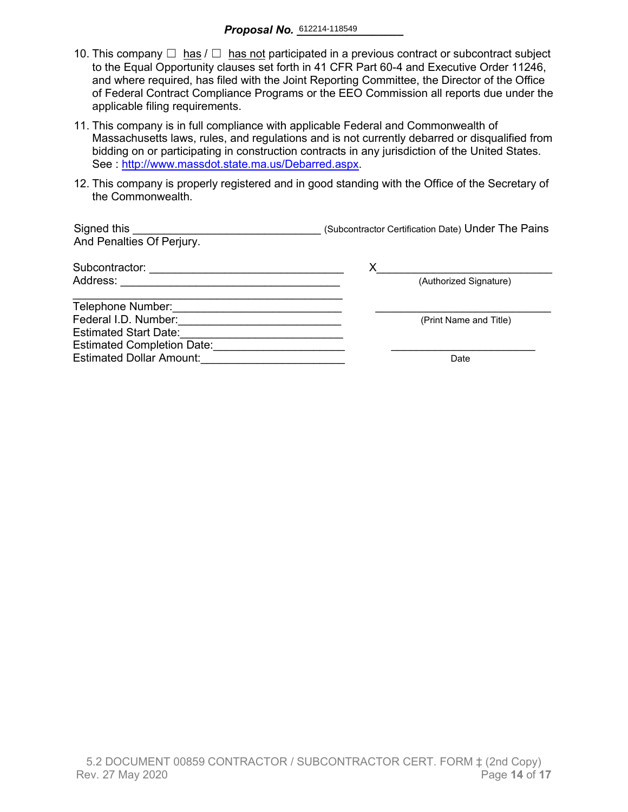- 10. This company  $\Box$  has  $\Box$  has not participated in a previous contract or subcontract subject to the Equal Opportunity clauses set forth in 41 CFR Part 60-4 and Executive Order 11246, and where required, has filed with the Joint Reporting Committee, the Director of the Office of Federal Contract Compliance Programs or the EEO Commission all reports due under the applicable filing requirements.
- 11. This company is in full compliance with applicable Federal and Commonwealth of Massachusetts laws, rules, and regulations and is not currently debarred or disqualified from bidding on or participating in construction contracts in any jurisdiction of the United States. See : [http://www.massdot.state.ma.us/Debarred.aspx.](http://www.massdot.state.ma.us/Debarred.aspx)
- 12. This company is properly registered and in good standing with the Office of the Secretary of the Commonwealth.

| Signed this<br>And Penalties Of Perjury. | (Subcontractor Certification Date) Under The Pains |
|------------------------------------------|----------------------------------------------------|
| Subcontractor:                           |                                                    |
| Address:                                 | (Authorized Signature)                             |
| Telephone Number:                        |                                                    |
| Federal I.D. Number:                     | (Print Name and Title)                             |
| <b>Estimated Start Date:</b>             |                                                    |
| <b>Estimated Completion Date:</b>        |                                                    |
| <b>Estimated Dollar Amount:</b>          | Date                                               |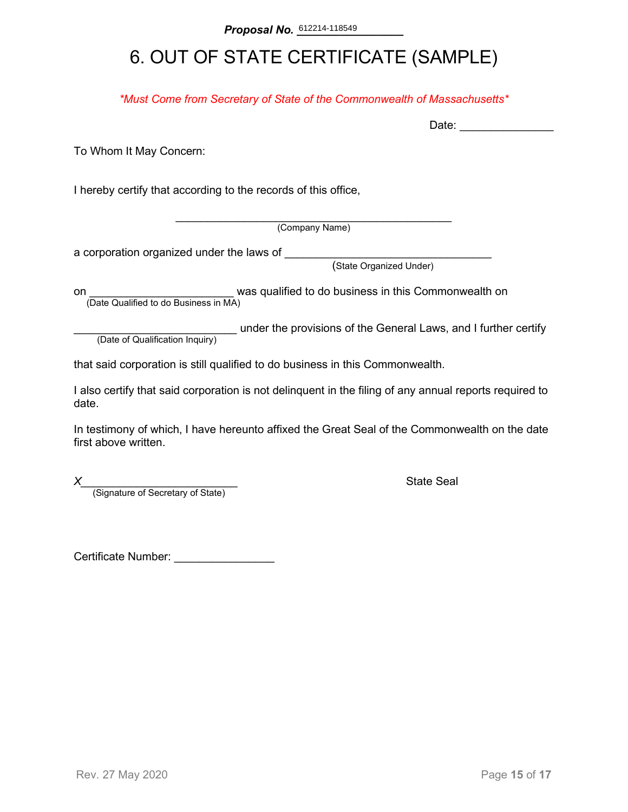## 6. OUT OF STATE CERTIFICATE (SAMPLE)

*\*Must Come from Secretary of State of the Commonwealth of Massachusetts\**

To Whom It May Concern:

I hereby certify that according to the records of this office,

\_\_\_\_\_\_\_\_\_\_\_\_\_\_\_\_\_\_\_\_\_\_\_\_\_\_\_\_\_\_\_\_\_\_\_\_\_\_\_\_\_\_\_\_ (Company Name)

a corporation organized under the laws of \_\_\_\_\_\_\_\_

(State Organized Under)

on **on Example 2** was qualified to do business in this Commonwealth on (Date Qualified to do Business in MA)

(Date of Qualification Inquiry) under the provisions of the General Laws, and I further certify (Date of Qualification Inquiry)

that said corporation is still qualified to do business in this Commonwealth.

I also certify that said corporation is not delinquent in the filing of any annual reports required to date.

In testimony of which, I have hereunto affixed the Great Seal of the Commonwealth on the date first above written.

*X*<br>(Signature of Secretary of State) **Alternative State Seal (Signature of Secretary of State)** 

Certificate Number: \_\_\_\_\_\_\_\_\_\_\_\_\_\_\_\_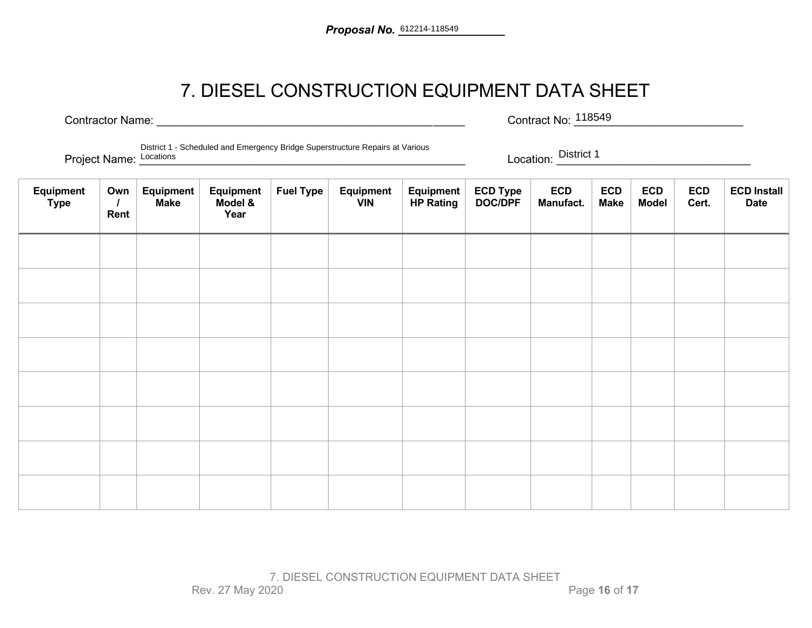## 7. DIESEL CONSTRUCTION EQUIPMENT DATA SHEET

Contractor Name: \_\_\_\_\_\_\_\_\_\_\_\_\_\_\_\_\_\_\_\_\_\_\_\_\_\_\_\_\_\_\_\_\_\_\_\_\_\_\_\_\_\_\_\_\_\_\_\_\_ Contract No: \_\_\_\_\_\_\_\_\_\_\_\_\_\_\_\_\_\_\_\_\_\_\_\_\_\_\_ Contract No: 118549

Project Name: Locations **Line of Location** Christ Christians and Eliters of Shange Seperations in parts at validation contract District 1 District 1 - Scheduled and Emergency Bridge Superstructure Repairs at Various

Project Name: Locations

| Equipment<br>Type | Own<br>Rent | <b>Equipment</b><br><b>Make</b> | Equipment<br>Model &<br>Year | <b>Fuel Type</b> | Equipment<br><b>VIN</b> | Equipment<br><b>HP Rating</b> | ECD Type<br>DOC/DPF | <b>ECD</b><br>Manufact. | <b>ECD</b><br><b>Make</b> | <b>ECD</b><br><b>Model</b> | <b>ECD</b><br>Cert. | <b>ECD Install</b><br><b>Date</b> |
|-------------------|-------------|---------------------------------|------------------------------|------------------|-------------------------|-------------------------------|---------------------|-------------------------|---------------------------|----------------------------|---------------------|-----------------------------------|
|                   |             |                                 |                              |                  |                         |                               |                     |                         |                           |                            |                     |                                   |
|                   |             |                                 |                              |                  |                         |                               |                     |                         |                           |                            |                     |                                   |
|                   |             |                                 |                              |                  |                         |                               |                     |                         |                           |                            |                     |                                   |
|                   |             |                                 |                              |                  |                         |                               |                     |                         |                           |                            |                     |                                   |
|                   |             |                                 |                              |                  |                         |                               |                     |                         |                           |                            |                     |                                   |
|                   |             |                                 |                              |                  |                         |                               |                     |                         |                           |                            |                     |                                   |
|                   |             |                                 |                              |                  |                         |                               |                     |                         |                           |                            |                     |                                   |
|                   |             |                                 |                              |                  |                         |                               |                     |                         |                           |                            |                     |                                   |